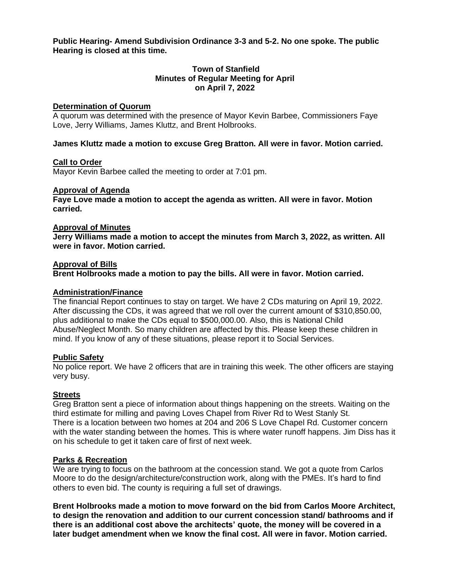**Public Hearing- Amend Subdivision Ordinance 3-3 and 5-2. No one spoke. The public Hearing is closed at this time.** 

# **Town of Stanfield Minutes of Regular Meeting for April on April 7, 2022**

#### **Determination of Quorum**

A quorum was determined with the presence of Mayor Kevin Barbee, Commissioners Faye Love, Jerry Williams, James Kluttz, and Brent Holbrooks.

### **James Kluttz made a motion to excuse Greg Bratton. All were in favor. Motion carried.**

#### **Call to Order**

Mayor Kevin Barbee called the meeting to order at 7:01 pm.

#### **Approval of Agenda**

**Faye Love made a motion to accept the agenda as written. All were in favor. Motion carried.** 

### **Approval of Minutes**

**Jerry Williams made a motion to accept the minutes from March 3, 2022, as written. All were in favor. Motion carried.** 

#### **Approval of Bills**

**Brent Holbrooks made a motion to pay the bills. All were in favor. Motion carried.** 

#### **Administration/Finance**

The financial Report continues to stay on target. We have 2 CDs maturing on April 19, 2022. After discussing the CDs, it was agreed that we roll over the current amount of \$310,850.00, plus additional to make the CDs equal to \$500,000.00. Also, this is National Child Abuse/Neglect Month. So many children are affected by this. Please keep these children in mind. If you know of any of these situations, please report it to Social Services.

#### **Public Safety**

No police report. We have 2 officers that are in training this week. The other officers are staying very busy.

#### **Streets**

Greg Bratton sent a piece of information about things happening on the streets. Waiting on the third estimate for milling and paving Loves Chapel from River Rd to West Stanly St. There is a location between two homes at 204 and 206 S Love Chapel Rd. Customer concern with the water standing between the homes. This is where water runoff happens. Jim Diss has it on his schedule to get it taken care of first of next week.

#### **Parks & Recreation**

We are trying to focus on the bathroom at the concession stand. We got a quote from Carlos Moore to do the design/architecture/construction work, along with the PMEs. It's hard to find others to even bid. The county is requiring a full set of drawings.

**Brent Holbrooks made a motion to move forward on the bid from Carlos Moore Architect, to design the renovation and addition to our current concession stand/ bathrooms and if there is an additional cost above the architects' quote, the money will be covered in a later budget amendment when we know the final cost. All were in favor. Motion carried.**